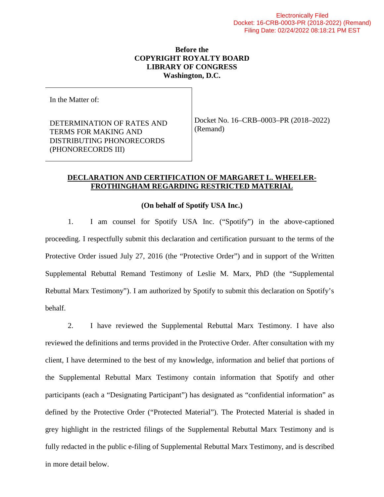## **Before the COPYRIGHT ROYALTY BOARD LIBRARY OF CONGRESS Washington, D.C.**

In the Matter of:

DETERMINATION OF RATES AND TERMS FOR MAKING AND DISTRIBUTING PHONORECORDS (PHONORECORDS III)

Docket No. 16–CRB–0003–PR (2018–2022) (Remand)

## **DECLARATION AND CERTIFICATION OF MARGARET L. WHEELER-FROTHINGHAM REGARDING RESTRICTED MATERIAL**

## **(On behalf of Spotify USA Inc.)**

1. I am counsel for Spotify USA Inc. ("Spotify") in the above-captioned proceeding. I respectfully submit this declaration and certification pursuant to the terms of the Protective Order issued July 27, 2016 (the "Protective Order") and in support of the Written Supplemental Rebuttal Remand Testimony of Leslie M. Marx, PhD (the "Supplemental Rebuttal Marx Testimony"). I am authorized by Spotify to submit this declaration on Spotify's behalf.

2. I have reviewed the Supplemental Rebuttal Marx Testimony. I have also reviewed the definitions and terms provided in the Protective Order. After consultation with my client, I have determined to the best of my knowledge, information and belief that portions of the Supplemental Rebuttal Marx Testimony contain information that Spotify and other participants (each a "Designating Participant") has designated as "confidential information" as defined by the Protective Order ("Protected Material"). The Protected Material is shaded in grey highlight in the restricted filings of the Supplemental Rebuttal Marx Testimony and is fully redacted in the public e-filing of Supplemental Rebuttal Marx Testimony, and is described in more detail below.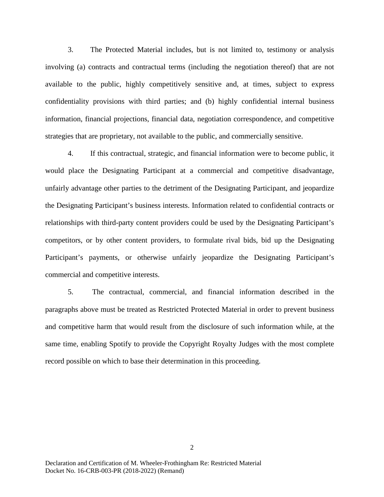3. The Protected Material includes, but is not limited to, testimony or analysis involving (a) contracts and contractual terms (including the negotiation thereof) that are not available to the public, highly competitively sensitive and, at times, subject to express confidentiality provisions with third parties; and (b) highly confidential internal business information, financial projections, financial data, negotiation correspondence, and competitive strategies that are proprietary, not available to the public, and commercially sensitive.

4. If this contractual, strategic, and financial information were to become public, it would place the Designating Participant at a commercial and competitive disadvantage, unfairly advantage other parties to the detriment of the Designating Participant, and jeopardize the Designating Participant's business interests. Information related to confidential contracts or relationships with third-party content providers could be used by the Designating Participant's competitors, or by other content providers, to formulate rival bids, bid up the Designating Participant's payments, or otherwise unfairly jeopardize the Designating Participant's commercial and competitive interests.

5. The contractual, commercial, and financial information described in the paragraphs above must be treated as Restricted Protected Material in order to prevent business and competitive harm that would result from the disclosure of such information while, at the same time, enabling Spotify to provide the Copyright Royalty Judges with the most complete record possible on which to base their determination in this proceeding.

Declaration and Certification of M. Wheeler-Frothingham Re: Restricted Material Docket No. 16-CRB-003-PR (2018-2022) (Remand)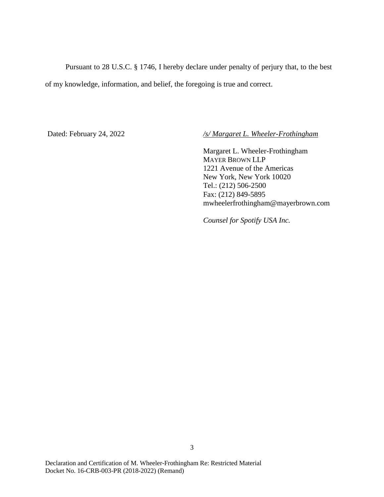Pursuant to 28 U.S.C. § 1746, I hereby declare under penalty of perjury that, to the best of my knowledge, information, and belief, the foregoing is true and correct.

Dated: February 24, 2022 */s/ Margaret L. Wheeler-Frothingham* 

Margaret L. Wheeler-Frothingham MAYER BROWN LLP 1221 Avenue of the Americas New York, New York 10020 Tel.: (212) 506-2500 Fax: (212) 849-5895 mwheelerfrothingham@mayerbrown.com

*Counsel for Spotify USA Inc.*